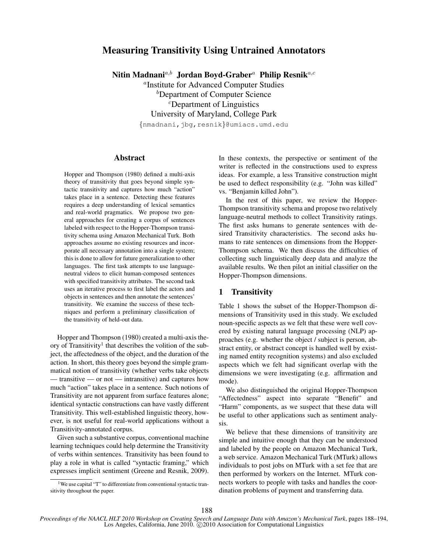# Measuring Transitivity Using Untrained Annotators

Nitin Madnani<sup>a,b</sup> Jordan Boyd-Graber<sup>a</sup> Philip Resnik<sup>a,c</sup>

<sup>a</sup>Institute for Advanced Computer Studies <sup>b</sup>Department of Computer Science c Department of Linguistics University of Maryland, College Park

{nmadnani,jbg,resnik}@umiacs.umd.edu

# Abstract

Hopper and Thompson (1980) defined a multi-axis theory of transitivity that goes beyond simple syntactic transitivity and captures how much "action" takes place in a sentence. Detecting these features requires a deep understanding of lexical semantics and real-world pragmatics. We propose two general approaches for creating a corpus of sentences labeled with respect to the Hopper-Thompson transitivity schema using Amazon Mechanical Turk. Both approaches assume no existing resources and incorporate all necessary annotation into a single system; this is done to allow for future generalization to other languages. The first task attempts to use languageneutral videos to elicit human-composed sentences with specified transitivity attributes. The second task uses an iterative process to first label the actors and objects in sentences and then annotate the sentences' transitivity. We examine the success of these techniques and perform a preliminary classification of the transitivity of held-out data.

Hopper and Thompson (1980) created a multi-axis theory of Transitivity<sup>1</sup> that describes the volition of the subject, the affectedness of the object, and the duration of the action. In short, this theory goes beyond the simple grammatical notion of transitivity (whether verbs take objects — transitive — or not — intransitive) and captures how much "action" takes place in a sentence. Such notions of Transitivity are not apparent from surface features alone; identical syntactic constructions can have vastly different Transitivity. This well-established linguistic theory, however, is not useful for real-world applications without a Transitivity-annotated corpus.

Given such a substantive corpus, conventional machine learning techniques could help determine the Transitivity of verbs within sentences. Transitivity has been found to play a role in what is called "syntactic framing," which expresses implicit sentiment (Greene and Resnik, 2009).

In these contexts, the perspective or sentiment of the writer is reflected in the constructions used to express ideas. For example, a less Transitive construction might be used to deflect responsibility (e.g. "John was killed" vs. "Benjamin killed John").

In the rest of this paper, we review the Hopper-Thompson transitivity schema and propose two relatively language-neutral methods to collect Transitivity ratings. The first asks humans to generate sentences with desired Transitivity characteristics. The second asks humans to rate sentences on dimensions from the Hopper-Thompson schema. We then discuss the difficulties of collecting such linguistically deep data and analyze the available results. We then pilot an initial classifier on the Hopper-Thompson dimensions.

# 1 Transitivity

Table 1 shows the subset of the Hopper-Thompson dimensions of Transitivity used in this study. We excluded noun-specific aspects as we felt that these were well covered by existing natural language processing (NLP) approaches (e.g. whether the object / subject is person, abstract entity, or abstract concept is handled well by existing named entity recognition systems) and also excluded aspects which we felt had significant overlap with the dimensions we were investigating (e.g. affirmation and mode).

We also distinguished the original Hopper-Thompson "Affectedness" aspect into separate "Benefit" and "Harm" components, as we suspect that these data will be useful to other applications such as sentiment analysis.

We believe that these dimensions of transitivity are simple and intuitive enough that they can be understood and labeled by the people on Amazon Mechanical Turk, a web service. Amazon Mechanical Turk (MTurk) allows individuals to post jobs on MTurk with a set fee that are then performed by workers on the Internet. MTurk connects workers to people with tasks and handles the coordination problems of payment and transferring data.

<sup>&</sup>lt;sup>1</sup>We use capital "T" to differentiate from conventional syntactic transitivity throughout the paper.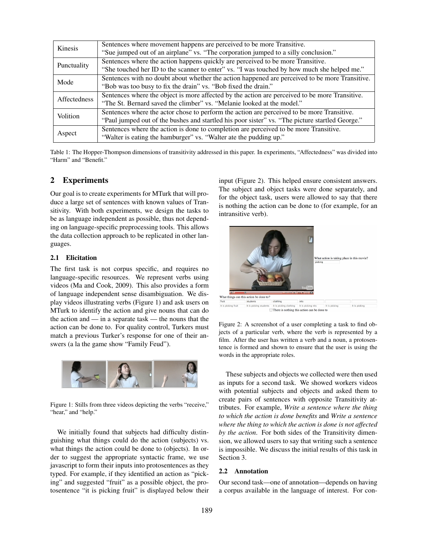| Kinesis      | Sentences where movement happens are perceived to be more Transitive.                           |
|--------------|-------------------------------------------------------------------------------------------------|
|              | "Sue jumped out of an airplane" vs. "The corporation jumped to a silly conclusion."             |
| Punctuality  | Sentences where the action happens quickly are perceived to be more Transitive.                 |
|              | "She touched her ID to the scanner to enter" vs. "I was touched by how much she helped me."     |
| Mode         | Sentences with no doubt about whether the action happened are perceived to be more Transitive.  |
|              | "Bob was too busy to fix the drain" vs. "Bob fixed the drain."                                  |
| Affectedness | Sentences where the object is more affected by the action are perceived to be more Transitive.  |
|              | "The St. Bernard saved the climber" vs. "Melanie looked at the model."                          |
| Volition     | Sentences where the actor chose to perform the action are perceived to be more Transitive.      |
|              | "Paul jumped out of the bushes and startled his poor sister" vs. "The picture startled George." |
| Aspect       | Sentences where the action is done to completion are perceived to be more Transitive.           |
|              | "Walter is eating the hamburger" vs. "Walter ate the pudding up."                               |

Table 1: The Hopper-Thompson dimensions of transitivity addressed in this paper. In experiments, "Affectedness" was divided into "Harm" and "Benefit."

# 2 Experiments

Our goal is to create experiments for MTurk that will produce a large set of sentences with known values of Transitivity. With both experiments, we design the tasks to be as language independent as possible, thus not depending on language-specific preprocessing tools. This allows the data collection approach to be replicated in other languages.

### 2.1 Elicitation

The first task is not corpus specific, and requires no language-specific resources. We represent verbs using videos (Ma and Cook, 2009). This also provides a form of language independent sense disambiguation. We display videos illustrating verbs (Figure 1) and ask users on MTurk to identify the action and give nouns that can do the action and — in a separate task — the nouns that the action can be done to. For quality control, Turkers must match a previous Turker's response for one of their answers (a la the game show "Family Feud").



Figure 1: Stills from three videos depicting the verbs "receive," "hear," and "help."

We initially found that subjects had difficulty distinguishing what things could do the action (subjects) vs. what things the action could be done to (objects). In order to suggest the appropriate syntactic frame, we use javascript to form their inputs into protosentences as they typed. For example, if they identified an action as "picking" and suggested "fruit" as a possible object, the protosentence "it is picking fruit" is displayed below their input (Figure 2). This helped ensure consistent answers. The subject and object tasks were done separately, and for the object task, users were allowed to say that there is nothing the action can be done to (for example, for an intransitive verb).



Figure 2: A screenshot of a user completing a task to find objects of a particular verb, where the verb is represented by a film. After the user has written a verb and a noun, a protosentence is formed and shown to ensure that the user is using the words in the appropriate roles.

These subjects and objects we collected were then used as inputs for a second task. We showed workers videos with potential subjects and objects and asked them to create pairs of sentences with opposite Transitivity attributes. For example, *Write a sentence where the thing to which the action is done benefits* and *Write a sentence where the thing to which the action is done is not affected by the action*. For both sides of the Transitivity dimension, we allowed users to say that writing such a sentence is impossible. We discuss the initial results of this task in Section 3.

#### 2.2 Annotation

Our second task—one of annotation—depends on having a corpus available in the language of interest. For con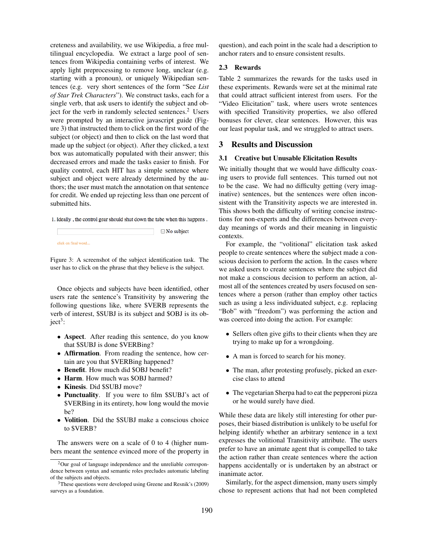creteness and availability, we use Wikipedia, a free multilingual encyclopedia. We extract a large pool of sentences from Wikipedia containing verbs of interest. We apply light preprocessing to remove long, unclear (e.g. starting with a pronoun), or uniquely Wikipedian sentences (e.g. very short sentences of the form "See *List of Star Trek Characters*"). We construct tasks, each for a single verb, that ask users to identify the subject and object for the verb in randomly selected sentences.<sup>2</sup> Users were prompted by an interactive javascript guide (Figure 3) that instructed them to click on the first word of the subject (or object) and then to click on the last word that made up the subject (or object). After they clicked, a text box was automatically populated with their answer; this decreased errors and made the tasks easier to finish. For quality control, each HIT has a simple sentence where subject and object were already determined by the authors; the user must match the annotation on that sentence for credit. We ended up rejecting less than one percent of submitted hits.

1. Ideally, the control gear should shut down the tube when this happens.

 $\Box$  No subject click on final word...

Figure 3: A screenshot of the subject identification task. The user has to click on the phrase that they believe is the subject.

Once objects and subjects have been identified, other users rate the sentence's Transitivity by answering the following questions like, where \$VERB represents the verb of interest, \$SUBJ is its subject and \$OBJ is its ob $ject<sup>3</sup>$ :

- Aspect. After reading this sentence, do you know that \$SUBJ is done \$VERBing?
- Affirmation. From reading the sentence, how certain are you that \$VERBing happened?
- Benefit. How much did \$OBJ benefit?
- Harm. How much was \$OBJ harmed?
- Kinesis. Did \$SUBJ move?
- Punctuality. If you were to film \$SUBJ's act of \$VERBing in its entirety, how long would the movie be?
- Volition. Did the \$SUBJ make a conscious choice to \$VERB?

The answers were on a scale of 0 to 4 (higher numbers meant the sentence evinced more of the property in question), and each point in the scale had a description to anchor raters and to ensure consistent results.

#### 2.3 Rewards

Table 2 summarizes the rewards for the tasks used in these experiments. Rewards were set at the minimal rate that could attract sufficient interest from users. For the "Video Elicitation" task, where users wrote sentences with specified Transitivity properties, we also offered bonuses for clever, clear sentences. However, this was our least popular task, and we struggled to attract users.

#### 3 Results and Discussion

#### 3.1 Creative but Unusable Elicitation Results

We initially thought that we would have difficulty coaxing users to provide full sentences. This turned out not to be the case. We had no difficulty getting (very imaginative) sentences, but the sentences were often inconsistent with the Transitivity aspects we are interested in. This shows both the difficulty of writing concise instructions for non-experts and the differences between everyday meanings of words and their meaning in linguistic contexts.

For example, the "volitional" elicitation task asked people to create sentences where the subject made a conscious decision to perform the action. In the cases where we asked users to create sentences where the subject did not make a conscious decision to perform an action, almost all of the sentences created by users focused on sentences where a person (rather than employ other tactics such as using a less individuated subject, e.g. replacing "Bob" with "freedom") was performing the action and was coerced into doing the action. For example:

- Sellers often give gifts to their clients when they are trying to make up for a wrongdoing.
- A man is forced to search for his money.
- The man, after protesting profusely, picked an exercise class to attend
- The vegetarian Sherpa had to eat the pepperoni pizza or he would surely have died.

While these data are likely still interesting for other purposes, their biased distribution is unlikely to be useful for helping identify whether an arbitrary sentence in a text expresses the volitional Transitivity attribute. The users prefer to have an animate agent that is compelled to take the action rather than create sentences where the action happens accidentally or is undertaken by an abstract or inanimate actor.

Similarly, for the aspect dimension, many users simply chose to represent actions that had not been completed

 $2$ Our goal of language independence and the unreliable correspondence between syntax and semantic roles precludes automatic labeling of the subjects and objects.

 $3$ These questions were developed using Greene and Resnik's (2009) surveys as a foundation.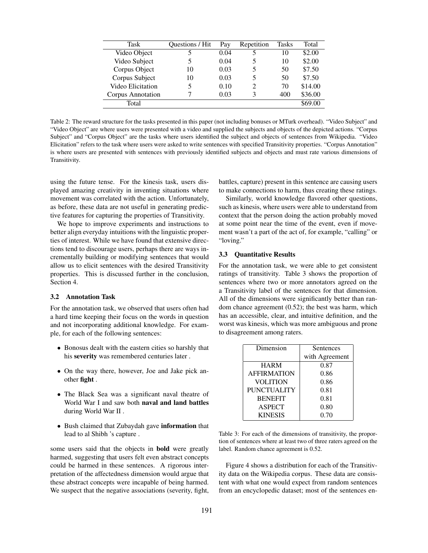| <b>Task</b>       | <b>Ouestions / Hit</b> | Pay  | Repetition | <b>Tasks</b> | Total   |
|-------------------|------------------------|------|------------|--------------|---------|
| Video Object      |                        | 0.04 |            | 10           | \$2.00  |
| Video Subject     |                        | 0.04 |            | 10           | \$2.00  |
| Corpus Object     | 10                     | 0.03 |            | 50           | \$7.50  |
| Corpus Subject    | 10                     | 0.03 |            | 50           | \$7.50  |
| Video Elicitation |                        | 0.10 |            | 70           | \$14.00 |
| Corpus Annotation |                        | 0.03 |            | 400          | \$36.00 |
| Total             |                        |      |            |              | \$69.00 |

Table 2: The reward structure for the tasks presented in this paper (not including bonuses or MTurk overhead). "Video Subject" and "Video Object" are where users were presented with a video and supplied the subjects and objects of the depicted actions. "Corpus Subject" and "Corpus Object" are the tasks where users identified the subject and objects of sentences from Wikipedia. "Video Elicitation" refers to the task where users were asked to write sentences with specified Transitivity properties. "Corpus Annotation" is where users are presented with sentences with previously identified subjects and objects and must rate various dimensions of Transitivity.

using the future tense. For the kinesis task, users displayed amazing creativity in inventing situations where movement was correlated with the action. Unfortunately, as before, these data are not useful in generating predictive features for capturing the properties of Transitivity.

We hope to improve experiments and instructions to better align everyday intuitions with the linguistic properties of interest. While we have found that extensive directions tend to discourage users, perhaps there are ways incrementally building or modifying sentences that would allow us to elicit sentences with the desired Transitivity properties. This is discussed further in the conclusion, Section 4.

#### 3.2 Annotation Task

For the annotation task, we observed that users often had a hard time keeping their focus on the words in question and not incorporating additional knowledge. For example, for each of the following sentences:

- Bonosus dealt with the eastern cities so harshly that his severity was remembered centuries later .
- On the way there, however, Joe and Jake pick another fight .
- The Black Sea was a significant naval theatre of World War I and saw both naval and land battles during World War II .
- Bush claimed that Zubaydah gave information that lead to al Shibh 's capture .

some users said that the objects in bold were greatly harmed, suggesting that users felt even abstract concepts could be harmed in these sentences. A rigorous interpretation of the affectedness dimension would argue that these abstract concepts were incapable of being harmed. We suspect that the negative associations (severity, fight, battles, capture) present in this sentence are causing users to make connections to harm, thus creating these ratings.

Similarly, world knowledge flavored other questions, such as kinesis, where users were able to understand from context that the person doing the action probably moved at some point near the time of the event, even if movement wasn't a part of the act of, for example, "calling" or "loving."

#### 3.3 Quantitative Results

For the annotation task, we were able to get consistent ratings of transitivity. Table 3 shows the proportion of sentences where two or more annotators agreed on the a Transitivity label of the sentences for that dimension. All of the dimensions were significantly better than random chance agreement (0.52); the best was harm, which has an accessible, clear, and intuitive definition, and the worst was kinesis, which was more ambiguous and prone to disagreement among raters.

| Dimension          | Sentences      |  |  |  |
|--------------------|----------------|--|--|--|
|                    | with Agreement |  |  |  |
| <b>HARM</b>        | 0.87           |  |  |  |
| <b>AFFIRMATION</b> | 0.86           |  |  |  |
| <b>VOLITION</b>    | 0.86           |  |  |  |
| <b>PUNCTUALITY</b> | 0.81           |  |  |  |
| <b>BENEFIT</b>     | 0.81           |  |  |  |
| <b>ASPECT</b>      | 0.80           |  |  |  |
| <b>KINESIS</b>     | 0.70           |  |  |  |

Table 3: For each of the dimensions of transitivity, the proportion of sentences where at least two of three raters agreed on the label. Random chance agreement is 0.52.

Figure 4 shows a distribution for each of the Transitivity data on the Wikipedia corpus. These data are consistent with what one would expect from random sentences from an encyclopedic dataset; most of the sentences en-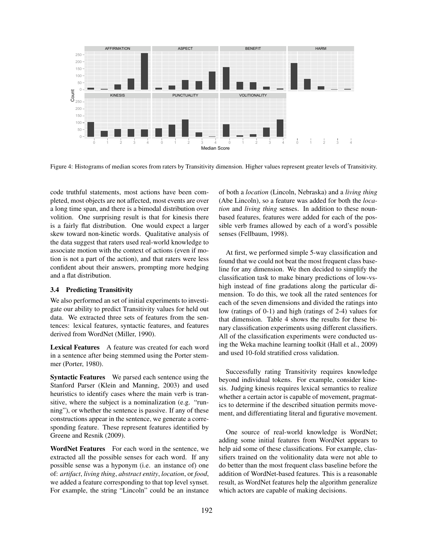

Figure 4: Histograms of median scores from raters by Transitivity dimension. Higher values represent greater levels of Transitivity.

code truthful statements, most actions have been completed, most objects are not affected, most events are over a long time span, and there is a bimodal distribution over volition. One surprising result is that for kinesis there is a fairly flat distribution. One would expect a larger skew toward non-kinetic words. Qualitative analysis of the data suggest that raters used real-world knowledge to associate motion with the context of actions (even if motion is not a part of the action), and that raters were less confident about their answers, prompting more hedging and a flat distribution.

#### 3.4 Predicting Transitivity

We also performed an set of initial experiments to investigate our ability to predict Transitivity values for held out data. We extracted three sets of features from the sentences: lexical features, syntactic features, and features derived from WordNet (Miller, 1990).

Lexical Features A feature was created for each word in a sentence after being stemmed using the Porter stemmer (Porter, 1980).

Syntactic Features We parsed each sentence using the Stanford Parser (Klein and Manning, 2003) and used heuristics to identify cases where the main verb is transitive, where the subject is a nominalization (e.g. "running"), or whether the sentence is passive. If any of these constructions appear in the sentence, we generate a corresponding feature. These represent features identified by Greene and Resnik (2009).

WordNet Features For each word in the sentence, we extracted all the possible senses for each word. If any possible sense was a hyponym (i.e. an instance of) one of: *artifact*, *living thing*, *abstract entity*, *location*, or *food*, we added a feature corresponding to that top level synset. For example, the string "Lincoln" could be an instance of both a *location* (Lincoln, Nebraska) and a *living thing* (Abe Lincoln), so a feature was added for both the *location* and *living thing* senses. In addition to these nounbased features, features were added for each of the possible verb frames allowed by each of a word's possible senses (Fellbaum, 1998).

At first, we performed simple 5-way classification and found that we could not beat the most frequent class baseline for any dimension. We then decided to simplify the classification task to make binary predictions of low-vshigh instead of fine gradations along the particular dimension. To do this, we took all the rated sentences for each of the seven dimensions and divided the ratings into low (ratings of 0-1) and high (ratings of 2-4) values for that dimension. Table 4 shows the results for these binary classification experiments using different classifiers. All of the classification experiments were conducted using the Weka machine learning toolkit (Hall et al., 2009) and used 10-fold stratified cross validation.

Successfully rating Transitivity requires knowledge beyond individual tokens. For example, consider kinesis. Judging kinesis requires lexical semantics to realize whether a certain actor is capable of movement, pragmatics to determine if the described situation permits movement, and differentiating literal and figurative movement.

One source of real-world knowledge is WordNet; adding some initial features from WordNet appears to help aid some of these classifications. For example, classifiers trained on the volitionality data were not able to do better than the most frequent class baseline before the addition of WordNet-based features. This is a reasonable result, as WordNet features help the algorithm generalize which actors are capable of making decisions.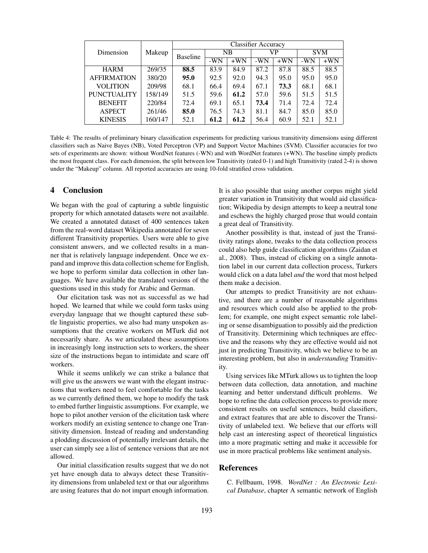|                    |         | <b>Classifier Accuracy</b> |           |       |       |        |            |        |
|--------------------|---------|----------------------------|-----------|-------|-------|--------|------------|--------|
| Dimension          | Makeup  | <b>Baseline</b>            | <b>NB</b> |       | VP    |        | <b>SVM</b> |        |
|                    |         |                            | $-WN$     | $+WN$ | $-WN$ | $+WNN$ | $-WN$      | $+WNN$ |
| <b>HARM</b>        | 269/35  | 88.5                       | 83.9      | 84.9  | 87.2  | 87.8   | 88.5       | 88.5   |
| <b>AFFIRMATION</b> | 380/20  | 95.0                       | 92.5      | 92.0  | 94.3  | 95.0   | 95.0       | 95.0   |
| <b>VOLITION</b>    | 209/98  | 68.1                       | 66.4      | 69.4  | 67.1  | 73.3   | 68.1       | 68.1   |
| <b>PUNCTUALITY</b> | 158/149 | 51.5                       | 59.6      | 61.2  | 57.0  | 59.6   | 51.5       | 51.5   |
| <b>BENEFIT</b>     | 220/84  | 72.4                       | 69.1      | 65.1  | 73.4  | 71.4   | 72.4       | 72.4   |
| <b>ASPECT</b>      | 261/46  | 85.0                       | 76.5      | 74.3  | 81.1  | 84.7   | 85.0       | 85.0   |
| <b>KINESIS</b>     | 160/147 | 52.1                       | 61.2      | 61.2  | 56.4  | 60.9   | 52.1       | 52.1   |

Table 4: The results of preliminary binary classification experiments for predicting various transitivity dimensions using different classifiers such as Naive Bayes (NB), Voted Perceptron (VP) and Support Vector Machines (SVM). Classifier accuracies for two sets of experiments are shown: without WordNet features (-WN) and with WordNet features (+WN). The baseline simply predicts the most frequent class. For each dimension, the split between low Transitivity (rated 0-1) and high Transitivity (rated 2-4) is shown under the "Makeup" column. All reported accuracies are using 10-fold stratified cross validation.

## 4 Conclusion

We began with the goal of capturing a subtle linguistic property for which annotated datasets were not available. We created a annotated dataset of 400 sentences taken from the real-word dataset Wikipedia annotated for seven different Transitivity properties. Users were able to give consistent answers, and we collected results in a manner that is relatively language independent. Once we expand and improve this data collection scheme for English, we hope to perform similar data collection in other languages. We have available the translated versions of the questions used in this study for Arabic and German.

Our elicitation task was not as successful as we had hoped. We learned that while we could form tasks using everyday language that we thought captured these subtle linguistic properties, we also had many unspoken assumptions that the creative workers on MTurk did not necessarily share. As we articulated these assumptions in increasingly long instruction sets to workers, the sheer size of the instructions began to intimidate and scare off workers.

While it seems unlikely we can strike a balance that will give us the answers we want with the elegant instructions that workers need to feel comfortable for the tasks as we currently defined them, we hope to modify the task to embed further linguistic assumptions. For example, we hope to pilot another version of the elicitation task where workers modify an existing sentence to change one Transitivity dimension. Instead of reading and understanding a plodding discussion of potentially irrelevant details, the user can simply see a list of sentence versions that are not allowed.

Our initial classification results suggest that we do not yet have enough data to always detect these Transitivity dimensions from unlabeled text or that our algorithms are using features that do not impart enough information. It is also possible that using another corpus might yield greater variation in Transitivity that would aid classification; Wikipedia by design attempts to keep a neutral tone and eschews the highly charged prose that would contain a great deal of Transitivity.

Another possibility is that, instead of just the Transitivity ratings alone, tweaks to the data collection process could also help guide classification algorithms (Zaidan et al., 2008). Thus, instead of clicking on a single annotation label in our current data collection process, Turkers would click on a data label *and* the word that most helped them make a decision.

Our attempts to predict Transitivity are not exhaustive, and there are a number of reasonable algorithms and resources which could also be applied to the problem; for example, one might expect semantic role labeling or sense disambiguation to possibly aid the prediction of Transitivity. Determining which techniques are effective and the reasons why they are effective would aid not just in predicting Transitivity, which we believe to be an interesting problem, but also in *understanding* Transitivity.

Using services like MTurk allows us to tighten the loop between data collection, data annotation, and machine learning and better understand difficult problems. We hope to refine the data collection process to provide more consistent results on useful sentences, build classifiers, and extract features that are able to discover the Transitivity of unlabeled text. We believe that our efforts will help cast an interesting aspect of theoretical linguistics into a more pragmatic setting and make it accessible for use in more practical problems like sentiment analysis.

### References

C. Fellbaum, 1998. *WordNet : An Electronic Lexical Database*, chapter A semantic network of English